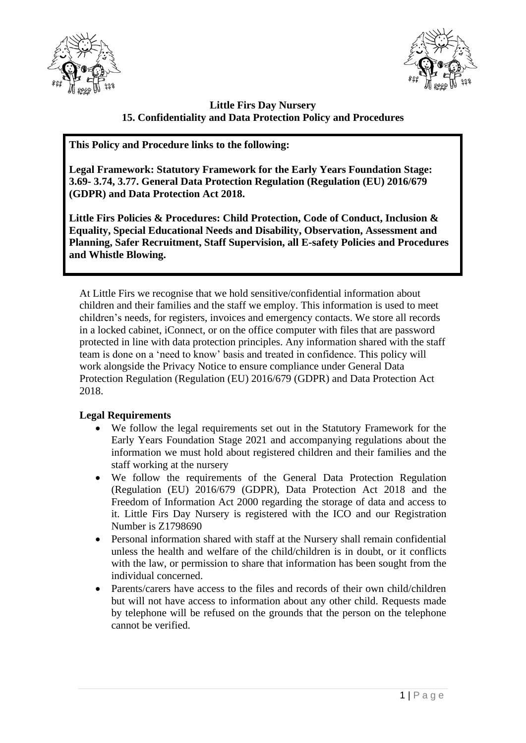



# **Little Firs Day Nursery 15. Confidentiality and Data Protection Policy and Procedures**

**This Policy and Procedure links to the following:**

**Legal Framework: Statutory Framework for the Early Years Foundation Stage: 3.69- 3.74, 3.77. General Data Protection Regulation (Regulation (EU) 2016/679 (GDPR) and Data Protection Act 2018.**

**Little Firs Policies & Procedures: Child Protection, Code of Conduct, Inclusion & Equality, Special Educational Needs and Disability, Observation, Assessment and Planning, Safer Recruitment, Staff Supervision, all E-safety Policies and Procedures and Whistle Blowing.**

At Little Firs we recognise that we hold sensitive/confidential information about children and their families and the staff we employ. This information is used to meet children's needs, for registers, invoices and emergency contacts. We store all records in a locked cabinet, iConnect, or on the office computer with files that are password protected in line with data protection principles. Any information shared with the staff team is done on a 'need to know' basis and treated in confidence. This policy will work alongside the Privacy Notice to ensure compliance under General Data Protection Regulation (Regulation (EU) 2016/679 (GDPR) and Data Protection Act 2018.

# **Legal Requirements**

- We follow the legal requirements set out in the Statutory Framework for the Early Years Foundation Stage 2021 and accompanying regulations about the information we must hold about registered children and their families and the staff working at the nursery
- We follow the requirements of the General Data Protection Regulation (Regulation (EU) 2016/679 (GDPR), Data Protection Act 2018 and the Freedom of Information Act 2000 regarding the storage of data and access to it. Little Firs Day Nursery is registered with the ICO and our Registration Number is Z1798690
- Personal information shared with staff at the Nursery shall remain confidential unless the health and welfare of the child/children is in doubt, or it conflicts with the law, or permission to share that information has been sought from the individual concerned.
- Parents/carers have access to the files and records of their own child/children but will not have access to information about any other child. Requests made by telephone will be refused on the grounds that the person on the telephone cannot be verified.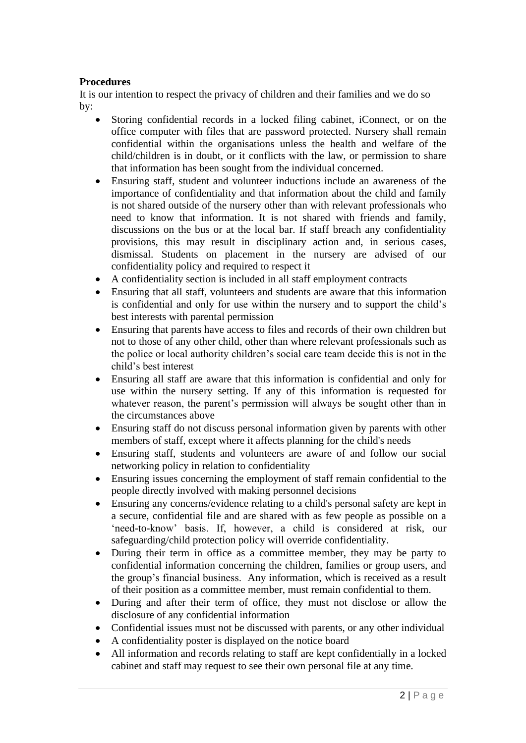### **Procedures**

It is our intention to respect the privacy of children and their families and we do so by:

- Storing confidential records in a locked filing cabinet, iConnect, or on the office computer with files that are password protected. Nursery shall remain confidential within the organisations unless the health and welfare of the child/children is in doubt, or it conflicts with the law, or permission to share that information has been sought from the individual concerned.
- Ensuring staff, student and volunteer inductions include an awareness of the importance of confidentiality and that information about the child and family is not shared outside of the nursery other than with relevant professionals who need to know that information. It is not shared with friends and family, discussions on the bus or at the local bar. If staff breach any confidentiality provisions, this may result in disciplinary action and, in serious cases, dismissal. Students on placement in the nursery are advised of our confidentiality policy and required to respect it
- A confidentiality section is included in all staff employment contracts
- Ensuring that all staff, volunteers and students are aware that this information is confidential and only for use within the nursery and to support the child's best interests with parental permission
- Ensuring that parents have access to files and records of their own children but not to those of any other child, other than where relevant professionals such as the police or local authority children's social care team decide this is not in the child's best interest
- Ensuring all staff are aware that this information is confidential and only for use within the nursery setting. If any of this information is requested for whatever reason, the parent's permission will always be sought other than in the circumstances above
- Ensuring staff do not discuss personal information given by parents with other members of staff, except where it affects planning for the child's needs
- Ensuring staff, students and volunteers are aware of and follow our social networking policy in relation to confidentiality
- Ensuring issues concerning the employment of staff remain confidential to the people directly involved with making personnel decisions
- Ensuring any concerns/evidence relating to a child's personal safety are kept in a secure, confidential file and are shared with as few people as possible on a 'need-to-know' basis. If, however, a child is considered at risk, our safeguarding/child protection policy will override confidentiality.
- During their term in office as a committee member, they may be party to confidential information concerning the children, families or group users, and the group's financial business. Any information, which is received as a result of their position as a committee member, must remain confidential to them.
- During and after their term of office, they must not disclose or allow the disclosure of any confidential information
- Confidential issues must not be discussed with parents, or any other individual
- A confidentiality poster is displayed on the notice board
- All information and records relating to staff are kept confidentially in a locked cabinet and staff may request to see their own personal file at any time.